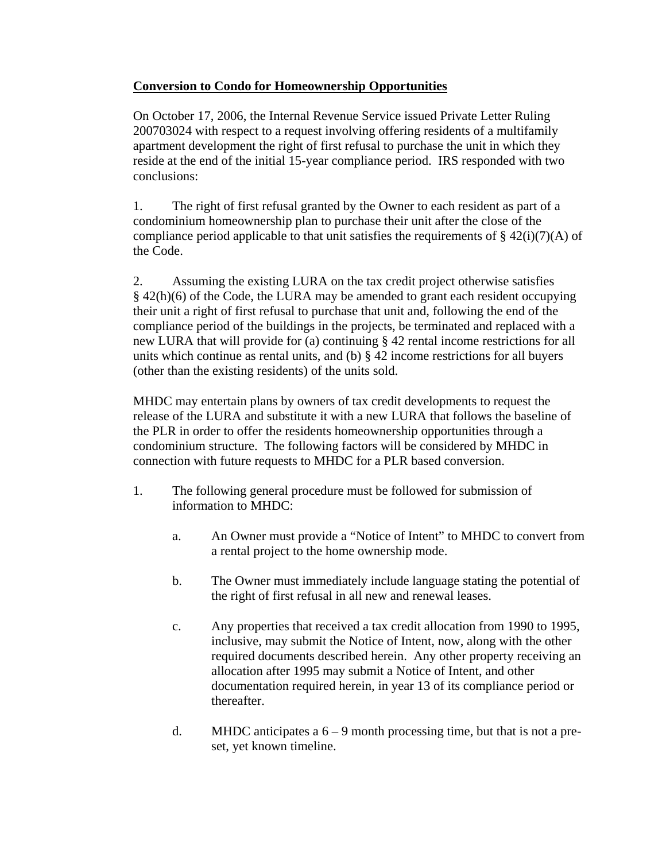## **Conversion to Condo for Homeownership Opportunities**

On October 17, 2006, the Internal Revenue Service issued Private Letter Ruling 200703024 with respect to a request involving offering residents of a multifamily apartment development the right of first refusal to purchase the unit in which they reside at the end of the initial 15-year compliance period. IRS responded with two conclusions:

1. The right of first refusal granted by the Owner to each resident as part of a condominium homeownership plan to purchase their unit after the close of the compliance period applicable to that unit satisfies the requirements of  $\S 42(i)(7)(A)$  of the Code.

2. Assuming the existing LURA on the tax credit project otherwise satisfies § 42(h)(6) of the Code, the LURA may be amended to grant each resident occupying their unit a right of first refusal to purchase that unit and, following the end of the compliance period of the buildings in the projects, be terminated and replaced with a new LURA that will provide for (a) continuing § 42 rental income restrictions for all units which continue as rental units, and (b)  $\S$  42 income restrictions for all buyers (other than the existing residents) of the units sold.

MHDC may entertain plans by owners of tax credit developments to request the release of the LURA and substitute it with a new LURA that follows the baseline of the PLR in order to offer the residents homeownership opportunities through a condominium structure. The following factors will be considered by MHDC in connection with future requests to MHDC for a PLR based conversion.

- 1. The following general procedure must be followed for submission of information to MHDC:
	- a. An Owner must provide a "Notice of Intent" to MHDC to convert from a rental project to the home ownership mode.
	- b. The Owner must immediately include language stating the potential of the right of first refusal in all new and renewal leases.
	- c. Any properties that received a tax credit allocation from 1990 to 1995, inclusive, may submit the Notice of Intent, now, along with the other required documents described herein. Any other property receiving an allocation after 1995 may submit a Notice of Intent, and other documentation required herein, in year 13 of its compliance period or thereafter.
	- d. MHDC anticipates a  $6 9$  month processing time, but that is not a preset, yet known timeline.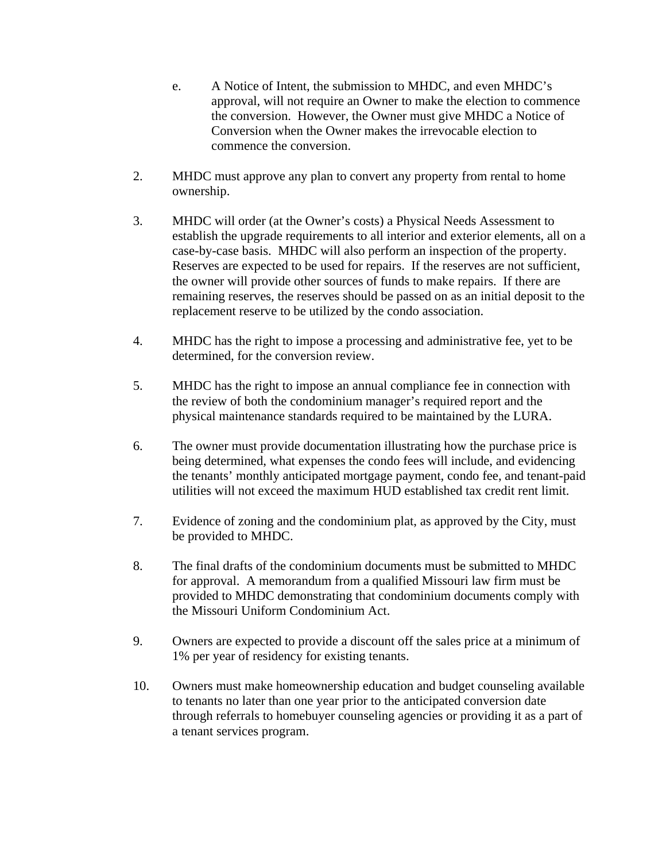- e. A Notice of Intent, the submission to MHDC, and even MHDC's approval, will not require an Owner to make the election to commence the conversion. However, the Owner must give MHDC a Notice of Conversion when the Owner makes the irrevocable election to commence the conversion.
- 2. MHDC must approve any plan to convert any property from rental to home ownership.
- 3. MHDC will order (at the Owner's costs) a Physical Needs Assessment to establish the upgrade requirements to all interior and exterior elements, all on a case-by-case basis. MHDC will also perform an inspection of the property. Reserves are expected to be used for repairs. If the reserves are not sufficient, the owner will provide other sources of funds to make repairs. If there are remaining reserves, the reserves should be passed on as an initial deposit to the replacement reserve to be utilized by the condo association.
- 4. MHDC has the right to impose a processing and administrative fee, yet to be determined, for the conversion review.
- 5. MHDC has the right to impose an annual compliance fee in connection with the review of both the condominium manager's required report and the physical maintenance standards required to be maintained by the LURA.
- 6. The owner must provide documentation illustrating how the purchase price is being determined, what expenses the condo fees will include, and evidencing the tenants' monthly anticipated mortgage payment, condo fee, and tenant-paid utilities will not exceed the maximum HUD established tax credit rent limit.
- 7. Evidence of zoning and the condominium plat, as approved by the City, must be provided to MHDC.
- 8. The final drafts of the condominium documents must be submitted to MHDC for approval. A memorandum from a qualified Missouri law firm must be provided to MHDC demonstrating that condominium documents comply with the Missouri Uniform Condominium Act.
- 9. Owners are expected to provide a discount off the sales price at a minimum of 1% per year of residency for existing tenants.
- 10. Owners must make homeownership education and budget counseling available to tenants no later than one year prior to the anticipated conversion date through referrals to homebuyer counseling agencies or providing it as a part of a tenant services program.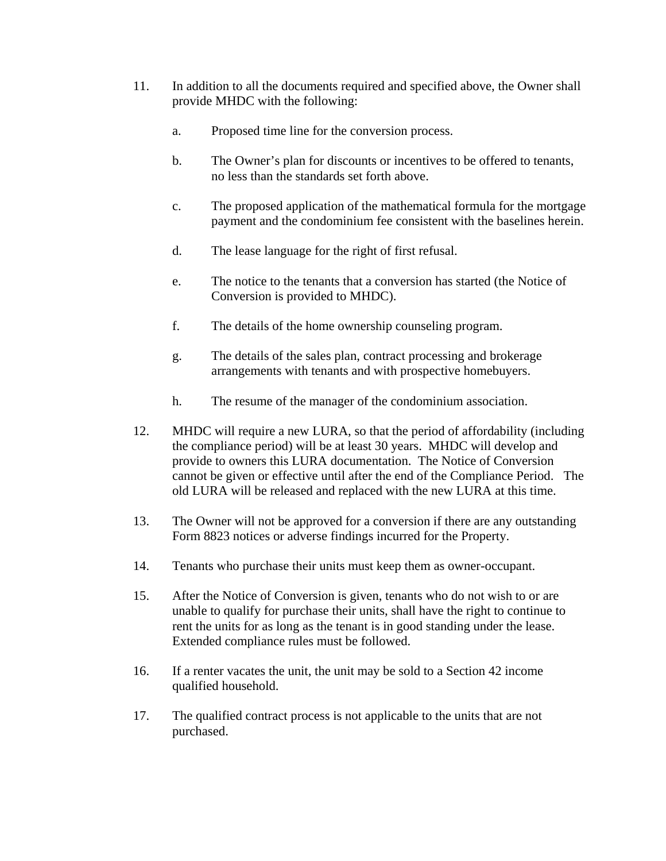- 11. In addition to all the documents required and specified above, the Owner shall provide MHDC with the following:
	- a. Proposed time line for the conversion process.
	- b. The Owner's plan for discounts or incentives to be offered to tenants, no less than the standards set forth above.
	- c. The proposed application of the mathematical formula for the mortgage payment and the condominium fee consistent with the baselines herein.
	- d. The lease language for the right of first refusal.
	- e. The notice to the tenants that a conversion has started (the Notice of Conversion is provided to MHDC).
	- f. The details of the home ownership counseling program.
	- g. The details of the sales plan, contract processing and brokerage arrangements with tenants and with prospective homebuyers.
	- h. The resume of the manager of the condominium association.
- 12. MHDC will require a new LURA, so that the period of affordability (including the compliance period) will be at least 30 years. MHDC will develop and provide to owners this LURA documentation. The Notice of Conversion cannot be given or effective until after the end of the Compliance Period. The old LURA will be released and replaced with the new LURA at this time.
- 13. The Owner will not be approved for a conversion if there are any outstanding Form 8823 notices or adverse findings incurred for the Property.
- 14. Tenants who purchase their units must keep them as owner-occupant.
- 15. After the Notice of Conversion is given, tenants who do not wish to or are unable to qualify for purchase their units, shall have the right to continue to rent the units for as long as the tenant is in good standing under the lease. Extended compliance rules must be followed.
- 16. If a renter vacates the unit, the unit may be sold to a Section 42 income qualified household.
- 17. The qualified contract process is not applicable to the units that are not purchased.